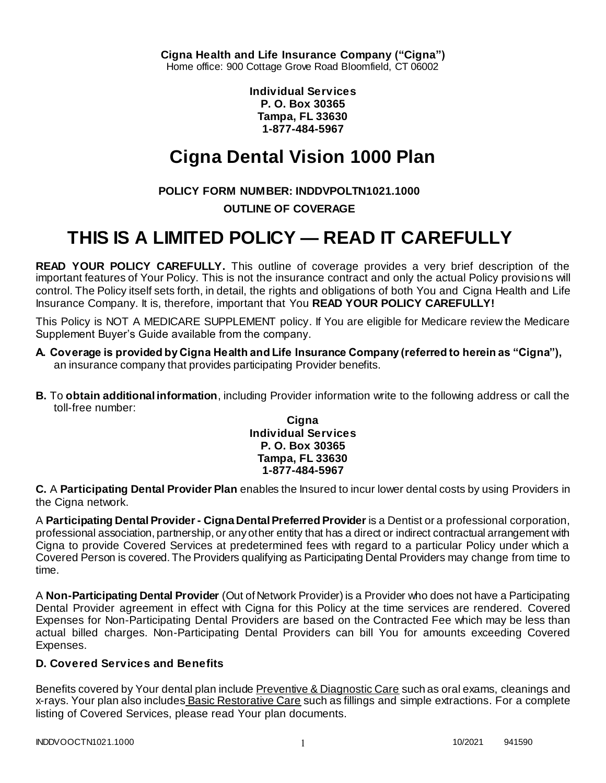**Individual Services P. O. Box 30365 Tampa, FL 33630 1-877-484-5967**

# **Cigna Dental Vision 1000 Plan**

# **POLICY FORM NUMBER: INDDVPOLTN1021.1000**

# **OUTLINE OF COVERAGE**

# **THIS IS A LIMITED POLICY — READ IT CAREFULLY**

**READ YOUR POLICY CAREFULLY.** This outline of coverage provides a very brief description of the important features of Your Policy. This is not the insurance contract and only the actual Policy provisions will control. The Policy itself sets forth, in detail, the rights and obligations of both You and Cigna Health and Life Insurance Company. It is, therefore, important that You **READ YOUR POLICY CAREFULLY!** 

This Policy is NOT A MEDICARE SUPPLEMENT policy. If You are eligible for Medicare review the Medicare Supplement Buyer's Guide available from the company.

- **A. Coverage is provided by Cigna Health and Life Insurance Company (referred to herein as "Cigna"),**  an insurance company that provides participating Provider benefits.
- **B.** To **obtain additional information**, including Provider information write to the following address or call the toll-free number:

### **Cigna Individual Services P. O. Box 30365 Tampa, FL 33630 1-877-484-5967**

**C.** A **Participating Dental Provider Plan** enables the Insured to incur lower dental costs by using Providers in the Cigna network.

A **Participating Dental Provider - Cigna Dental Preferred Provider** is a Dentist or a professional corporation, professional association, partnership, or any other entity that has a direct or indirect contractual arrangement with Cigna to provide Covered Services at predetermined fees with regard to a particular Policy under which a Covered Person is covered. The Providers qualifying as Participating Dental Providers may change from time to time.

A **Non-Participating Dental Provider** (Out of Network Provider) is a Provider who does not have a Participating Dental Provider agreement in effect with Cigna for this Policy at the time services are rendered. Covered Expenses for Non-Participating Dental Providers are based on the Contracted Fee which may be less than actual billed charges. Non-Participating Dental Providers can bill You for amounts exceeding Covered Expenses.

# **D. Covered Services and Benefits**

Benefits covered by Your dental plan include Preventive & Diagnostic Care such as oral exams, cleanings and x-rays. Your plan also includes Basic Restorative Care such as fillings and simple extractions. For a complete listing of Covered Services, please read Your plan documents.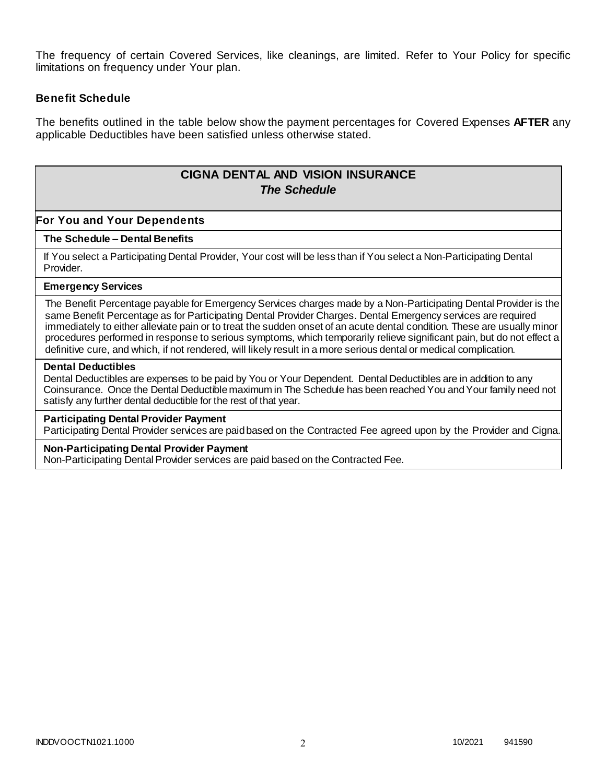The frequency of certain Covered Services, like cleanings, are limited. Refer to Your Policy for specific limitations on frequency under Your plan.

## **Benefit Schedule**

The benefits outlined in the table below show the payment percentages for Covered Expenses **AFTER** any applicable Deductibles have been satisfied unless otherwise stated.

# **CIGNA DENTAL AND VISION INSURANCE** *The Schedule*

## **For You and Your Dependents**

### **The Schedule – Dental Benefits**

If You select a Participating Dental Provider, Your cost will be less than if You select a Non-Participating Dental Provider.

### **Emergency Services**

The Benefit Percentage payable for Emergency Services charges made by a Non-Participating Dental Provider is the same Benefit Percentage as for Participating Dental Provider Charges. Dental Emergency services are required immediately to either alleviate pain or to treat the sudden onset of an acute dental condition. These are usually minor procedures performed in response to serious symptoms, which temporarily relieve significant pain, but do not effect a definitive cure, and which, if not rendered, will likely result in a more serious dental or medical complication.

#### **Dental Deductibles**

Dental Deductibles are expenses to be paid by You or Your Dependent. Dental Deductibles are in addition to any Coinsurance. Once the Dental Deductible maximum in The Schedule has been reached You and Your family need not satisfy any further dental deductible for the rest of that year.

#### **Participating Dental Provider Payment**

Participating Dental Provider services are paid based on the Contracted Fee agreed upon by the Provider and Cigna.

### **Non-Participating Dental Provider Payment**

Non-Participating Dental Provider services are paid based on the Contracted Fee.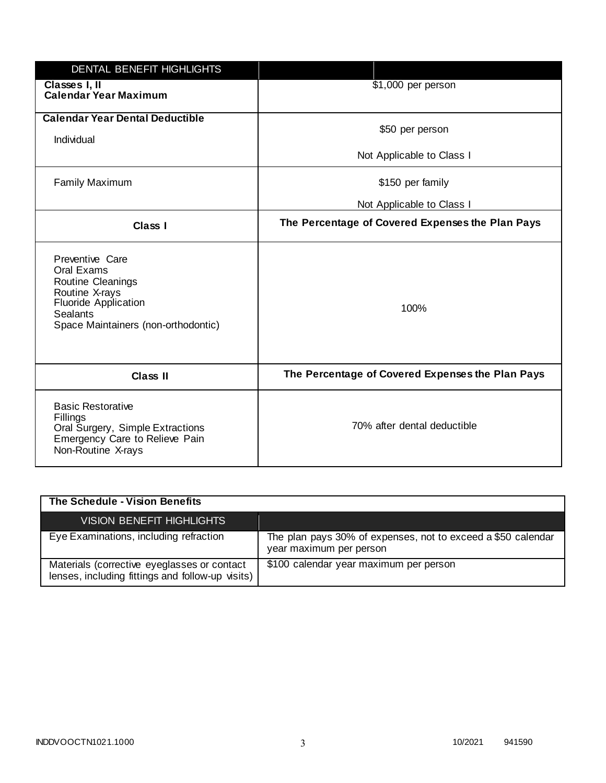| DENTAL BENEFIT HIGHLIGHTS                                                                                                                              |                                                  |
|--------------------------------------------------------------------------------------------------------------------------------------------------------|--------------------------------------------------|
| Classes I, II<br><b>Calendar Year Maximum</b>                                                                                                          | \$1,000 per person                               |
| <b>Calendar Year Dental Deductible</b><br>Individual                                                                                                   | \$50 per person                                  |
|                                                                                                                                                        | Not Applicable to Class I                        |
| <b>Family Maximum</b>                                                                                                                                  | \$150 per family                                 |
|                                                                                                                                                        | Not Applicable to Class I                        |
| <b>Class I</b>                                                                                                                                         | The Percentage of Covered Expenses the Plan Pays |
| Preventive Care<br>Oral Exams<br>Routine Cleanings<br>Routine X-rays<br><b>Fluoride Application</b><br>Sealants<br>Space Maintainers (non-orthodontic) | 100%                                             |
| <b>Class II</b>                                                                                                                                        | The Percentage of Covered Expenses the Plan Pays |
| <b>Basic Restorative</b><br>Fillings<br>Oral Surgery, Simple Extractions<br>Emergency Care to Relieve Pain<br>Non-Routine X-rays                       | 70% after dental deductible                      |

| The Schedule - Vision Benefits                                                                  |                                                                                         |
|-------------------------------------------------------------------------------------------------|-----------------------------------------------------------------------------------------|
| <b>VISION BENEFIT HIGHLIGHTS</b>                                                                |                                                                                         |
| Eye Examinations, including refraction                                                          | The plan pays 30% of expenses, not to exceed a \$50 calendar<br>year maximum per person |
| Materials (corrective eyeglasses or contact<br>lenses, including fittings and follow-up visits) | \$100 calendar year maximum per person                                                  |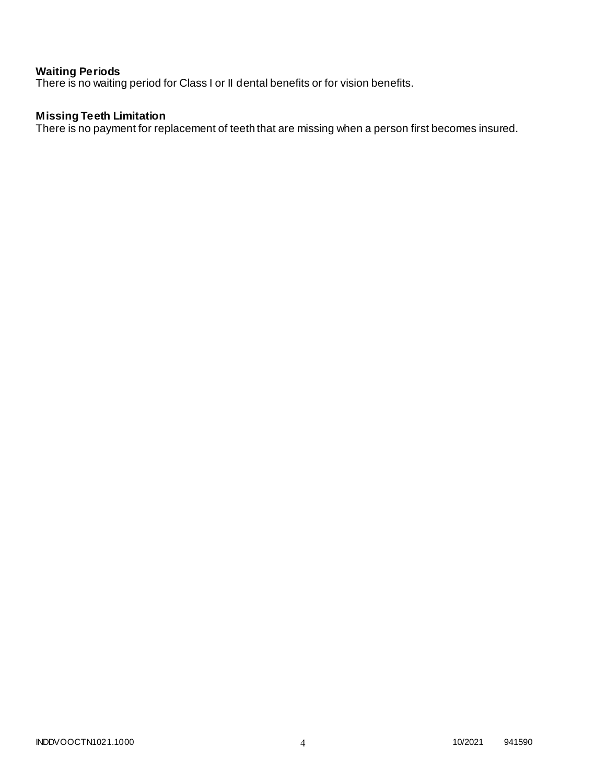## **Waiting Periods**

There is no waiting period for Class I or II dental benefits or for vision benefits.

# **Missing Teeth Limitation**

There is no payment for replacement of teeth that are missing when a person first becomes insured.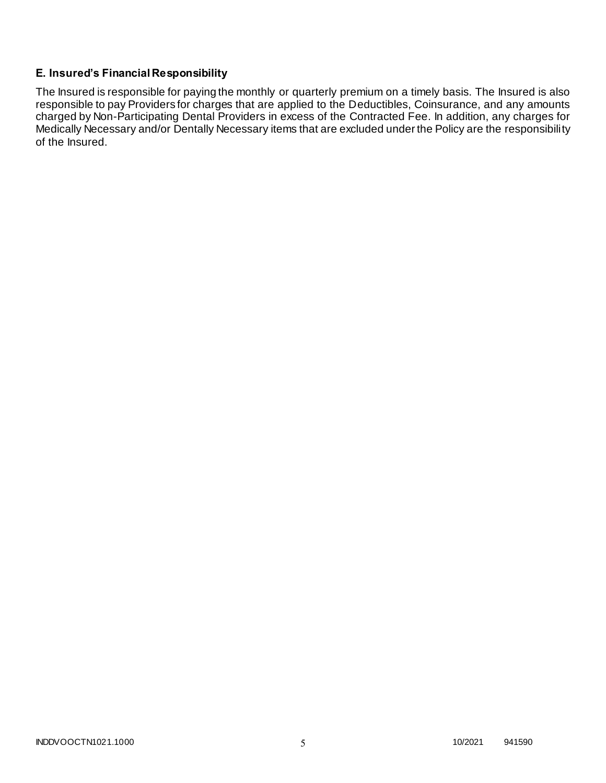# **E. Insured's Financial Responsibility**

The Insured is responsible for paying the monthly or quarterly premium on a timely basis. The Insured is also responsible to pay Providers for charges that are applied to the Deductibles, Coinsurance, and any amounts charged by Non-Participating Dental Providers in excess of the Contracted Fee. In addition, any charges for Medically Necessary and/or Dentally Necessary items that are excluded under the Policy are the responsibility of the Insured.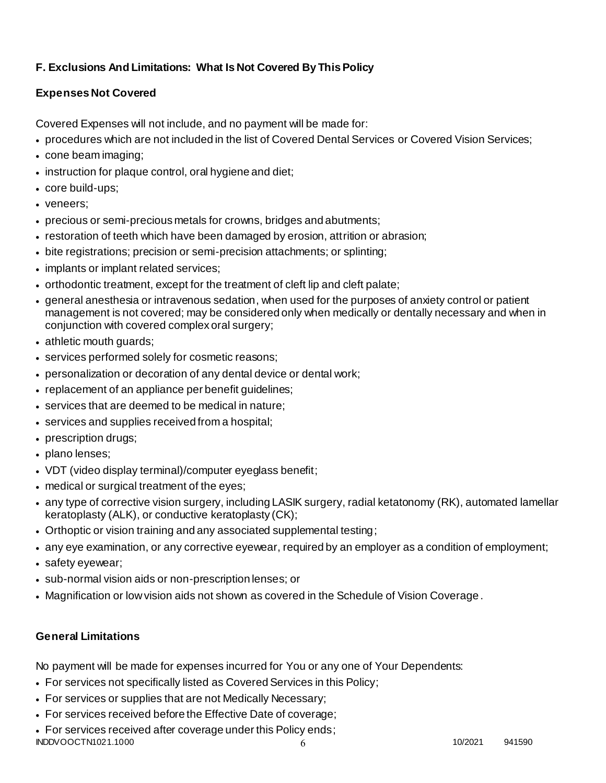# **F. Exclusions And Limitations: What Is Not Covered By This Policy**

# **Expenses Not Covered**

Covered Expenses will not include, and no payment will be made for:

- procedures which are not included in the list of Covered Dental Services or Covered Vision Services;
- cone beam imaging;
- instruction for plaque control, oral hygiene and diet;
- core build-ups;
- veneers;
- precious or semi-precious metals for crowns, bridges and abutments;
- restoration of teeth which have been damaged by erosion, attrition or abrasion;
- bite registrations; precision or semi-precision attachments; or splinting;
- implants or implant related services;
- orthodontic treatment, except for the treatment of cleft lip and cleft palate;
- general anesthesia or intravenous sedation, when used for the purposes of anxiety control or patient management is not covered; may be considered only when medically or dentally necessary and when in conjunction with covered complex oral surgery;
- athletic mouth guards;
- services performed solely for cosmetic reasons;
- personalization or decoration of any dental device or dental work;
- replacement of an appliance per benefit guidelines;
- services that are deemed to be medical in nature;
- services and supplies received from a hospital;
- prescription drugs;
- plano lenses;
- VDT (video display terminal)/computer eyeglass benefit;
- medical or surgical treatment of the eyes;
- any type of corrective vision surgery, including LASIK surgery, radial ketatonomy (RK), automated lamellar keratoplasty (ALK), or conductive keratoplasty (CK);
- Orthoptic or vision training and any associated supplemental testing;
- any eye examination, or any corrective eyewear, required by an employer as a condition of employment;
- safety eyewear;
- sub-normal vision aids or non-prescription lenses; or
- Magnification or low vision aids not shown as covered in the Schedule of Vision Coverage.

# **General Limitations**

No payment will be made for expenses incurred for You or any one of Your Dependents:

- For services not specifically listed as Covered Services in this Policy;
- For services or supplies that are not Medically Necessary;
- For services received before the Effective Date of coverage;
- INDDVOOCTN1021.1000 10/2021 941590 For services received after coverage under this Policy ends;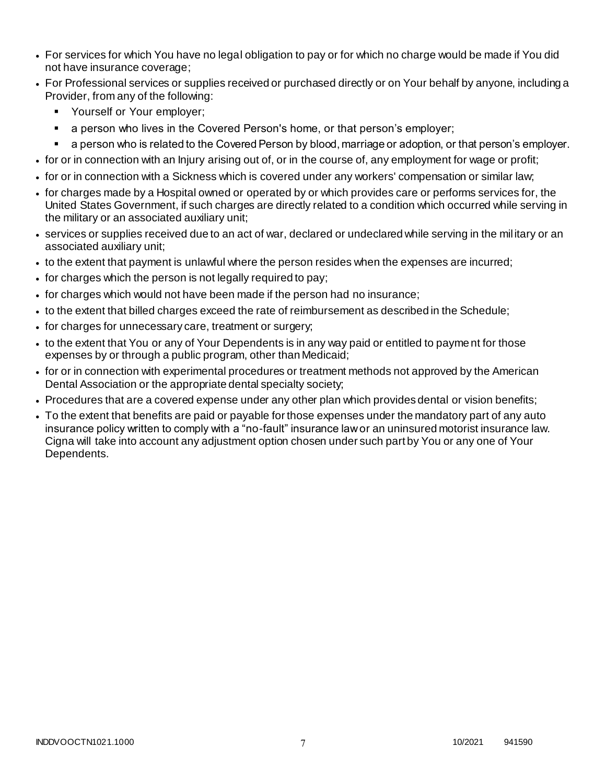- For services for which You have no legal obligation to pay or for which no charge would be made if You did not have insurance coverage;
- For Professional services or supplies received or purchased directly or on Your behalf by anyone, including a Provider, from any of the following:
	- **Yourself or Your employer:**
	- a person who lives in the Covered Person's home, or that person's employer;
	- a person who is related to the Covered Person by blood, marriage or adoption, or that person's employer.
- for or in connection with an Injury arising out of, or in the course of, any employment for wage or profit;
- for or in connection with a Sickness which is covered under any workers' compensation or similar law;
- for charges made by a Hospital owned or operated by or which provides care or performs services for, the United States Government, if such charges are directly related to a condition which occurred while serving in the military or an associated auxiliary unit;
- services or supplies received due to an act of war, declared or undeclared while serving in the mil itary or an associated auxiliary unit;
- to the extent that payment is unlawful where the person resides when the expenses are incurred;
- for charges which the person is not legally required to pay;
- for charges which would not have been made if the person had no insurance;
- to the extent that billed charges exceed the rate of reimbursement as described in the Schedule;
- for charges for unnecessary care, treatment or surgery;
- to the extent that You or any of Your Dependents is in any way paid or entitled to payment for those expenses by or through a public program, other than Medicaid;
- for or in connection with experimental procedures or treatment methods not approved by the American Dental Association or the appropriate dental specialty society;
- Procedures that are a covered expense under any other plan which provides dental or vision benefits;
- To the extent that benefits are paid or payable for those expenses under the mandatory part of any auto insurance policy written to comply with a "no-fault" insurance law or an uninsured motorist insurance law. Cigna will take into account any adjustment option chosen under such part by You or any one of Your Dependents.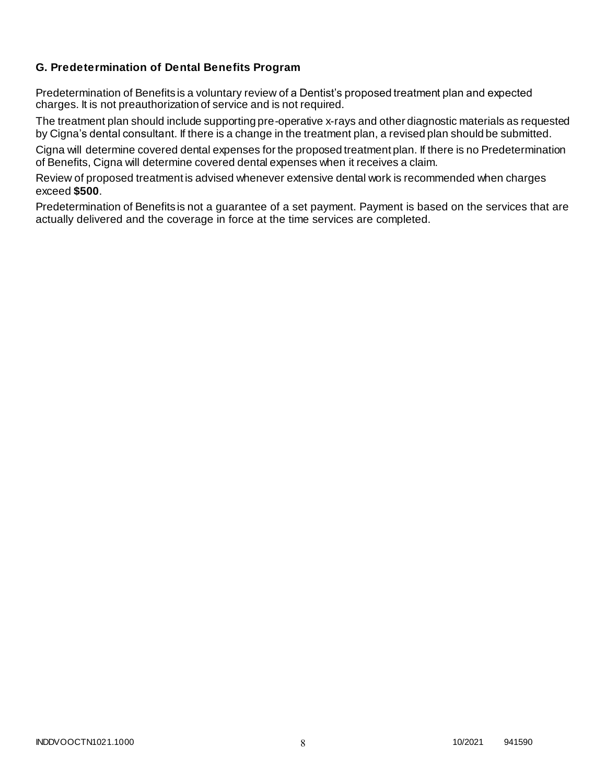# **G. Predetermination of Dental Benefits Program**

Predetermination of Benefits is a voluntary review of a Dentist's proposed treatment plan and expected charges. It is not preauthorization of service and is not required.

The treatment plan should include supporting pre-operative x-rays and other diagnostic materials as requested by Cigna's dental consultant. If there is a change in the treatment plan, a revised plan should be submitted.

Cigna will determine covered dental expenses for the proposed treatment plan. If there is no Predetermination of Benefits, Cigna will determine covered dental expenses when it receives a claim.

Review of proposed treatment is advised whenever extensive dental work is recommended when charges exceed **\$500**.

Predetermination of Benefits is not a guarantee of a set payment. Payment is based on the services that are actually delivered and the coverage in force at the time services are completed.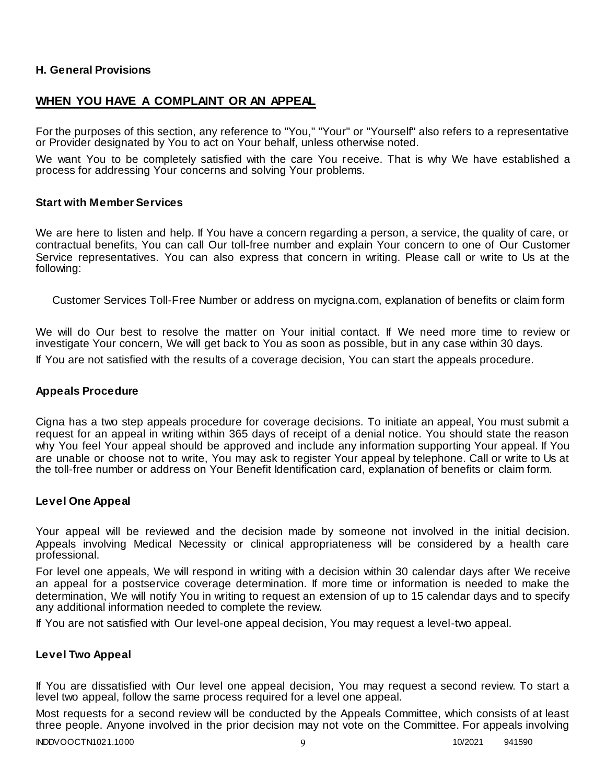## **H. General Provisions**

# **WHEN YOU HAVE A COMPLAINT OR AN APPEAL**

For the purposes of this section, any reference to "You," "Your" or "Yourself" also refers to a representative or Provider designated by You to act on Your behalf, unless otherwise noted.

We want You to be completely satisfied with the care You receive. That is why We have established a process for addressing Your concerns and solving Your problems.

### **Start with Member Services**

We are here to listen and help. If You have a concern regarding a person, a service, the quality of care, or contractual benefits, You can call Our toll-free number and explain Your concern to one of Our Customer Service representatives. You can also express that concern in writing. Please call or write to Us at the following:

Customer Services Toll-Free Number or address on mycigna.com, explanation of benefits or claim form

We will do Our best to resolve the matter on Your initial contact. If We need more time to review or investigate Your concern, We will get back to You as soon as possible, but in any case within 30 days. If You are not satisfied with the results of a coverage decision, You can start the appeals procedure.

### **Appeals Procedure**

Cigna has a two step appeals procedure for coverage decisions. To initiate an appeal, You must submit a request for an appeal in writing within 365 days of receipt of a denial notice. You should state the reason why You feel Your appeal should be approved and include any information supporting Your appeal. If You are unable or choose not to write, You may ask to register Your appeal by telephone. Call or write to Us at the toll-free number or address on Your Benefit Identification card, explanation of benefits or claim form.

### **Level One Appeal**

Your appeal will be reviewed and the decision made by someone not involved in the initial decision. Appeals involving Medical Necessity or clinical appropriateness will be considered by a health care professional.

For level one appeals, We will respond in writing with a decision within 30 calendar days after We receive an appeal for a postservice coverage determination. If more time or information is needed to make the determination, We will notify You in writing to request an extension of up to 15 calendar days and to specify any additional information needed to complete the review.

If You are not satisfied with Our level-one appeal decision, You may request a level-two appeal.

### **Level Two Appeal**

If You are dissatisfied with Our level one appeal decision, You may request a second review. To start a level two appeal, follow the same process required for a level one appeal.

Most requests for a second review will be conducted by the Appeals Committee, which consists of at least three people. Anyone involved in the prior decision may not vote on the Committee. For appeals involving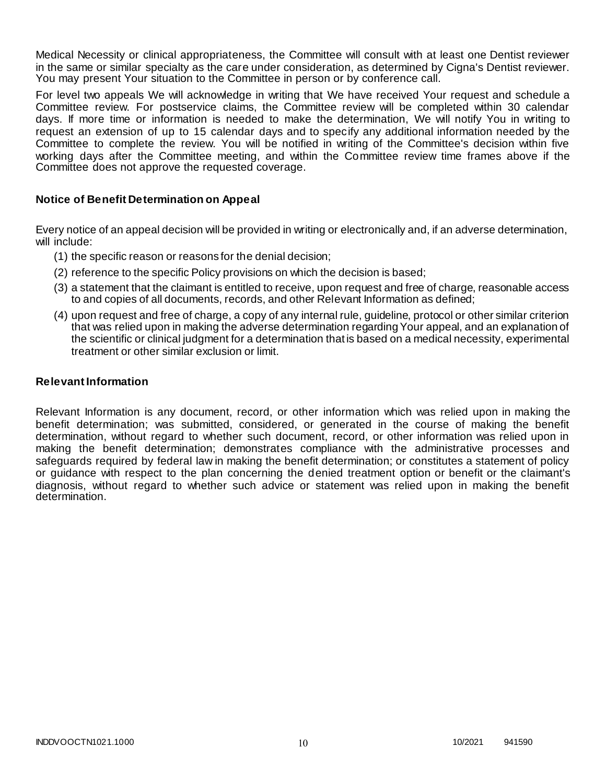Medical Necessity or clinical appropriateness, the Committee will consult with at least one Dentist reviewer in the same or similar specialty as the care under consideration, as determined by Cigna's Dentist reviewer. You may present Your situation to the Committee in person or by conference call.

For level two appeals We will acknowledge in writing that We have received Your request and schedule a Committee review. For postservice claims, the Committee review will be completed within 30 calendar days. If more time or information is needed to make the determination, We will notify You in writing to request an extension of up to 15 calendar days and to specify any additional information needed by the Committee to complete the review. You will be notified in writing of the Committee's decision within five working days after the Committee meeting, and within the Committee review time frames above if the Committee does not approve the requested coverage.

## **Notice of Benefit Determination on Appeal**

Every notice of an appeal decision will be provided in writing or electronically and, if an adverse determination, will include:

- (1) the specific reason or reasons for the denial decision;
- (2) reference to the specific Policy provisions on which the decision is based;
- (3) a statement that the claimant is entitled to receive, upon request and free of charge, reasonable access to and copies of all documents, records, and other Relevant Information as defined;
- (4) upon request and free of charge, a copy of any internal rule, guideline, protocol or other similar criterion that was relied upon in making the adverse determination regarding Your appeal, and an explanation of the scientific or clinical judgment for a determination that is based on a medical necessity, experimental treatment or other similar exclusion or limit.

## **Relevant Information**

Relevant Information is any document, record, or other information which was relied upon in making the benefit determination; was submitted, considered, or generated in the course of making the benefit determination, without regard to whether such document, record, or other information was relied upon in making the benefit determination; demonstrates compliance with the administrative processes and safeguards required by federal law in making the benefit determination; or constitutes a statement of policy or guidance with respect to the plan concerning the denied treatment option or benefit or the claimant's diagnosis, without regard to whether such advice or statement was relied upon in making the benefit determination.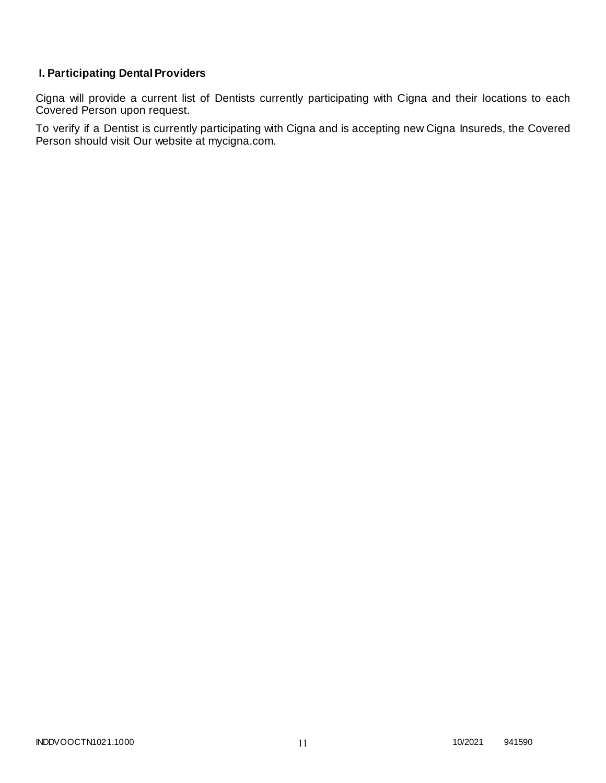# **I. Participating Dental Providers**

Cigna will provide a current list of Dentists currently participating with Cigna and their locations to each Covered Person upon request.

To verify if a Dentist is currently participating with Cigna and is accepting new Cigna Insureds, the Covered Person should visit Our website at mycigna.com.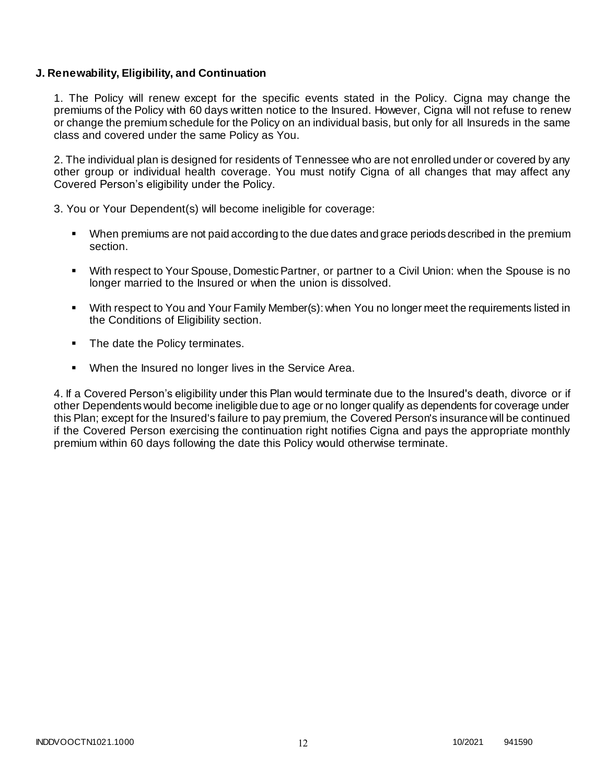## **J. Renewability, Eligibility, and Continuation**

1. The Policy will renew except for the specific events stated in the Policy. Cigna may change the premiums of the Policy with 60 days written notice to the Insured. However, Cigna will not refuse to renew or change the premium schedule for the Policy on an individual basis, but only for all Insureds in the same class and covered under the same Policy as You.

2. The individual plan is designed for residents of Tennessee who are not enrolled under or covered by any other group or individual health coverage. You must notify Cigna of all changes that may affect any Covered Person's eligibility under the Policy.

3. You or Your Dependent(s) will become ineligible for coverage:

- When premiums are not paid according to the due dates and grace periods described in the premium section.
- With respect to Your Spouse, Domestic Partner, or partner to a Civil Union: when the Spouse is no longer married to the Insured or when the union is dissolved.
- With respect to You and Your Family Member(s): when You no longer meet the requirements listed in the Conditions of Eligibility section.
- The date the Policy terminates.
- When the Insured no longer lives in the Service Area.

4. If a Covered Person's eligibility under this Plan would terminate due to the Insured's death, divorce or if other Dependents would become ineligible due to age or no longer qualify as dependents for coverage under this Plan; except for the Insured's failure to pay premium, the Covered Person's insurance will be continued if the Covered Person exercising the continuation right notifies Cigna and pays the appropriate monthly premium within 60 days following the date this Policy would otherwise terminate.